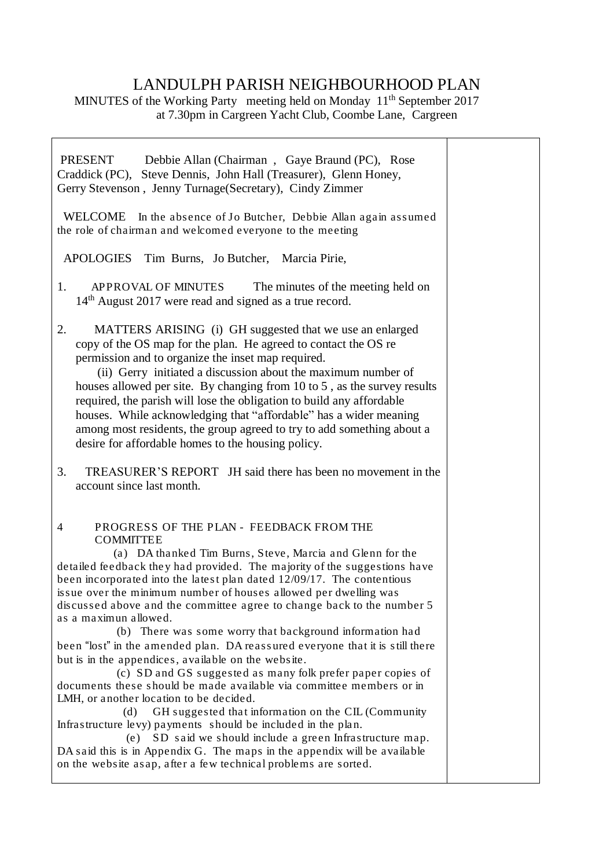## LANDULPH PARISH NEIGHBOURHOOD PLAN

MINUTES of the Working Party meeting held on Monday 11<sup>th</sup> September 2017 at 7.30pm in Cargreen Yacht Club, Coombe Lane, Cargreen

| Debbie Allan (Chairman, Gaye Braund (PC), Rose<br>PRESENT<br>Craddick (PC), Steve Dennis, John Hall (Treasurer), Glenn Honey,<br>Gerry Stevenson, Jenny Turnage (Secretary), Cindy Zimmer                                                                                                                                                                                                                                                                                                                                                                                                                                                                                                                                                                                                                                                                                                                                                                                                                                                                                                                                                                                                         |  |
|---------------------------------------------------------------------------------------------------------------------------------------------------------------------------------------------------------------------------------------------------------------------------------------------------------------------------------------------------------------------------------------------------------------------------------------------------------------------------------------------------------------------------------------------------------------------------------------------------------------------------------------------------------------------------------------------------------------------------------------------------------------------------------------------------------------------------------------------------------------------------------------------------------------------------------------------------------------------------------------------------------------------------------------------------------------------------------------------------------------------------------------------------------------------------------------------------|--|
| WELCOME In the absence of Jo Butcher, Debbie Allan again assumed<br>the role of chairman and welcomed everyone to the meeting                                                                                                                                                                                                                                                                                                                                                                                                                                                                                                                                                                                                                                                                                                                                                                                                                                                                                                                                                                                                                                                                     |  |
| APOLOGIES Tim Burns, Jo Butcher, Marcia Pirie,                                                                                                                                                                                                                                                                                                                                                                                                                                                                                                                                                                                                                                                                                                                                                                                                                                                                                                                                                                                                                                                                                                                                                    |  |
| APPROVAL OF MINUTES<br>1.<br>The minutes of the meeting held on<br>14 <sup>th</sup> August 2017 were read and signed as a true record.                                                                                                                                                                                                                                                                                                                                                                                                                                                                                                                                                                                                                                                                                                                                                                                                                                                                                                                                                                                                                                                            |  |
| 2.<br>MATTERS ARISING (i) GH suggested that we use an enlarged<br>copy of the OS map for the plan. He agreed to contact the OS re<br>permission and to organize the inset map required.<br>(ii) Gerry initiated a discussion about the maximum number of<br>houses allowed per site. By changing from 10 to 5, as the survey results<br>required, the parish will lose the obligation to build any affordable<br>houses. While acknowledging that "affordable" has a wider meaning<br>among most residents, the group agreed to try to add something about a<br>desire for affordable homes to the housing policy.                                                                                                                                                                                                                                                                                                                                                                                                                                                                                                                                                                                |  |
| TREASURER'S REPORT JH said there has been no movement in the<br>3.<br>account since last month.                                                                                                                                                                                                                                                                                                                                                                                                                                                                                                                                                                                                                                                                                                                                                                                                                                                                                                                                                                                                                                                                                                   |  |
| PROGRESS OF THE PLAN - FEEDBACK FROM THE<br>4<br><b>COMMITTEE</b><br>(a) DA thanked Tim Burns, Steve, Marcia and Glenn for the<br>detailed feedback they had provided. The majority of the suggestions have<br>been incorporated into the latest plan dated 12/09/17. The contentious<br>issue over the minimum number of houses allowed per dwelling was<br>discussed above and the committee agree to change back to the number 5<br>as a maximun allowed.<br>(b) There was some worry that background information had<br>been "lost" in the amended plan. DA reassured everyone that it is still there<br>but is in the appendices, available on the website.<br>(c) SD and GS suggested as many folk prefer paper copies of<br>documents these should be made available via committee members or in<br>LMH, or another location to be decided.<br>GH suggested that information on the CIL (Community<br>(d)<br>Infrastructure levy) payments should be included in the plan.<br>SD said we should include a green Infrastructure map.<br>(e)<br>DA said this is in Appendix G. The maps in the appendix will be available<br>on the website asap, after a few technical problems are sorted. |  |